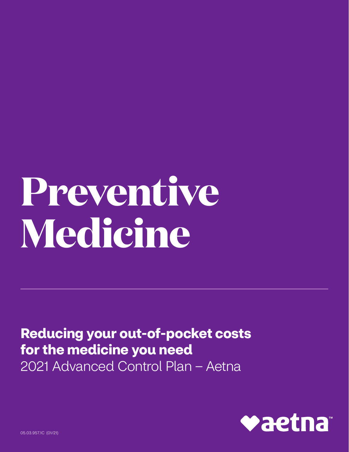## Preventive Medicine

**Reducing your out-of-pocket costs** for the medicine you need 2021 Advanced Control Plan - Aetna



05.03.957.1C (01/21)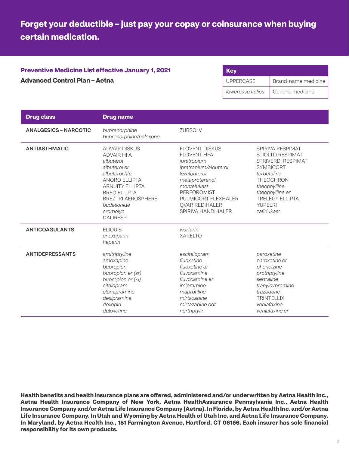## **Forget your deductible – just pay your copay or coinsurance when buying certain medication.**

## **Preventive Medicine List effective January 1, 2021 Advanced Control Plan – Aetna**

| <b>Key</b>        |                     |
|-------------------|---------------------|
| <b>UPPERCASE</b>  | Brand-name medicine |
| lowercase italics | Generic medicine    |

| <b>Drug class</b>            | <b>Drug name</b>                                                                                                                                                                                                                           |                                                                                                                                                                                                                                  |                                                                                                                                                                                                                               |
|------------------------------|--------------------------------------------------------------------------------------------------------------------------------------------------------------------------------------------------------------------------------------------|----------------------------------------------------------------------------------------------------------------------------------------------------------------------------------------------------------------------------------|-------------------------------------------------------------------------------------------------------------------------------------------------------------------------------------------------------------------------------|
| <b>ANALGESICS – NARCOTIC</b> | buprenorphine<br>buprenorphine/naloxone                                                                                                                                                                                                    | <b>ZUBSOLV</b>                                                                                                                                                                                                                   |                                                                                                                                                                                                                               |
| <b>ANTIASTHMATIC</b>         | <b>ADVAIR DISKUS</b><br><b>ADVAIR HFA</b><br>albuterol<br>albuterol er<br>albuterol hfa<br><b>ANORO ELLIPTA</b><br><b>ARNUITY ELLIPTA</b><br><b>BREO ELLIPTA</b><br><b>BREZTRI AEROSPHERE</b><br>budesonide<br>cromolyn<br><b>DALIRESP</b> | <b>FLOVENT DISKUS</b><br><b>FLOVENT HFA</b><br>ipratropium<br>ipratropium/albuterol<br>levalbuterol<br>metaproterenol<br>montelukast<br><b>PERFOROMIST</b><br>PULMICORT FLEXHALER<br><b>OVAR REDIHALER</b><br>SPIRIVA HANDIHALER | SPIRIVA RESPIMAT<br><b>STIOLTO RESPIMAT</b><br><b>STRIVERDI RESPIMAT</b><br><b>SYMBICORT</b><br>terbutaline<br><b>THEOCHRON</b><br>theophylline<br>theophylline er<br><b>TRELEGY ELLIPTA</b><br><b>YUPELRI</b><br>zafirlukast |
| <b>ANTICOAGULANTS</b>        | <b>ELIQUIS</b><br>enoxaparin<br>heparin                                                                                                                                                                                                    | warfarin<br><b>XARELTO</b>                                                                                                                                                                                                       |                                                                                                                                                                                                                               |
| <b>ANTIDEPRESSANTS</b>       | amitriptyline<br>amoxapine<br>bupropion<br>bupropion er (sr)<br>bupropion er (xl)<br>citalopram<br>clomipramine<br>desipramine<br>doxepin<br>duloxetine                                                                                    | escitalopram<br>fluoxetine<br>fluoxetine dr<br>fluvoxamine<br>fluvoxamine er<br>imipramine<br>maprotiline<br>mirtazapine<br>mirtazapine odt<br>nortriptylin                                                                      | paroxetine<br>paroxetine er<br>phenelzine<br>protriptyline<br>sertraline<br>tranylcypromine<br>trazodone<br><b>TRINTELLIX</b><br>venlafaxine<br>venlafaxine er                                                                |

**Health benefits and health insurance plans are offered, administered and/or underwritten by Aetna Health Inc., Aetna Health Insurance Company of New York, Aetna HealthAssurance Pennsylvania Inc., Aetna Health Insurance Company and/or Aetna Life Insurance Company (Aetna). In Florida, by Aetna Health Inc. and/or Aetna Life Insurance Company. In Utah and Wyoming by Aetna Health of Utah Inc. and Aetna Life Insurance Company. In Maryland, by Aetna Health Inc., 151 Farmington Avenue, Hartford, CT 06156. Each insurer has sole financial responsibility for its own products.**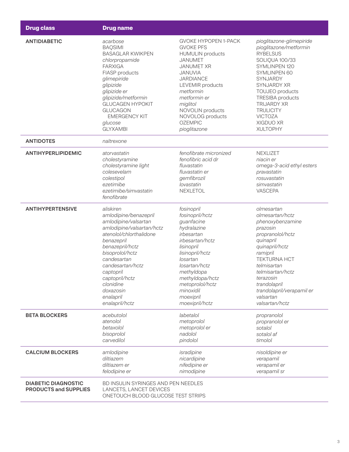| <b>Drug class</b>                                          | <b>Drug name</b>                                                                                                                         |                                                                                                                               |                                                                                                             |  |
|------------------------------------------------------------|------------------------------------------------------------------------------------------------------------------------------------------|-------------------------------------------------------------------------------------------------------------------------------|-------------------------------------------------------------------------------------------------------------|--|
| <b>ANTIDIABETIC</b>                                        | acarbose                                                                                                                                 | <b>GVOKE HYPOPEN 1-PACK</b>                                                                                                   | pioglitazone-glimepiride                                                                                    |  |
|                                                            | <b>BAQSIMI</b>                                                                                                                           | <b>GVOKE PFS</b>                                                                                                              | pioglitazone/metformin                                                                                      |  |
|                                                            | <b>BASAGLAR KWIKPEN</b>                                                                                                                  | <b>HUMULIN</b> products                                                                                                       | <b>RYBELSUS</b>                                                                                             |  |
|                                                            | chlorpropamide                                                                                                                           | <b>JANUMET</b>                                                                                                                | SOLIQUA 100/33                                                                                              |  |
|                                                            | <b>FARXIGA</b>                                                                                                                           | <b>JANUMET XR</b>                                                                                                             | SYMLINPEN 120                                                                                               |  |
|                                                            | FIASP products                                                                                                                           | JANUVIA                                                                                                                       | SYMLINPEN 60                                                                                                |  |
|                                                            | glimepiride                                                                                                                              | <b>JARDIANCE</b>                                                                                                              | SYNJARDY                                                                                                    |  |
|                                                            | glipizide                                                                                                                                | LEVEMIR products                                                                                                              | SYNJARDY XR                                                                                                 |  |
|                                                            | glipizide er                                                                                                                             | metformin                                                                                                                     | TOUJEO products                                                                                             |  |
|                                                            | glipizide/metformin                                                                                                                      | metformin er                                                                                                                  | <b>TRESIBA</b> products                                                                                     |  |
|                                                            | <b>GLUCAGEN HYPOKIT</b>                                                                                                                  | miglitol                                                                                                                      | <b>TRIJARDY XR</b>                                                                                          |  |
|                                                            | <b>GLUCAGON</b>                                                                                                                          | NOVOLIN products                                                                                                              | <b>TRULICITY</b>                                                                                            |  |
|                                                            | <b>EMERGENCY KIT</b>                                                                                                                     | NOVOLOG products                                                                                                              | <b>VICTOZA</b>                                                                                              |  |
|                                                            | glucose                                                                                                                                  | <b>OZEMPIC</b>                                                                                                                | XIGDUO XR                                                                                                   |  |
|                                                            | <b>GLYXAMBI</b>                                                                                                                          | pioglitazone                                                                                                                  | <b>XULTOPHY</b>                                                                                             |  |
| <b>ANTIDOTES</b>                                           | naltrexone                                                                                                                               |                                                                                                                               |                                                                                                             |  |
| <b>ANTIHYPERLIPIDEMIC</b>                                  | atorvastatin<br>cholestyramine<br>cholestyramine light<br>colesevelam<br>colestipol<br>ezetimibe<br>ezetimibe/simvastatin<br>fenofibrate | fenofibrate micronized<br>fenofibric acid dr<br>fluvastatin<br>fluvastatin er<br>gemfibrozil<br>lovastatin<br><b>NEXLETOL</b> | NEXLIZET<br>niacin er<br>omega-3-acid ethyl esters<br>pravastatin<br>rosuvastatin<br>simvastatin<br>VASCEPA |  |
| <b>ANTIHYPERTENSIVE</b>                                    | aliskiren                                                                                                                                | fosinopril                                                                                                                    | olmesartan                                                                                                  |  |
|                                                            | amlodipine/benazepril                                                                                                                    | fosinopril/hctz                                                                                                               | olmesartan/hctz                                                                                             |  |
|                                                            | amlodipine/valsartan                                                                                                                     | guanfacine                                                                                                                    | phenoxybenzamine                                                                                            |  |
|                                                            | amlodipine/valsartan/hctz                                                                                                                | hydralazine                                                                                                                   | prazosin                                                                                                    |  |
|                                                            | atenolol/chlorthalidone                                                                                                                  | irbesartan                                                                                                                    | propranolol/hctz                                                                                            |  |
|                                                            | benazepril                                                                                                                               | irbesartan/hctz                                                                                                               | quinapril                                                                                                   |  |
|                                                            | benazepril/hctz                                                                                                                          | lisinopril                                                                                                                    | quinapril/hctz                                                                                              |  |
|                                                            | bisoprolol/hctz                                                                                                                          | lisinopril/hctz                                                                                                               | ramipril                                                                                                    |  |
|                                                            | candesartan                                                                                                                              | losartan                                                                                                                      | <b>TEKTURNA HCT</b>                                                                                         |  |
|                                                            | candesartan/hctz                                                                                                                         | losartan/hctz                                                                                                                 | telmisartan                                                                                                 |  |
|                                                            | captopril                                                                                                                                | methyldopa                                                                                                                    | telmisartan/hctz                                                                                            |  |
|                                                            | captopril/hctz                                                                                                                           | methyldopa/hctz                                                                                                               | terazosin                                                                                                   |  |
|                                                            | clonidine                                                                                                                                | metoprolol/hctz                                                                                                               | trandolapril                                                                                                |  |
|                                                            | doxazosin                                                                                                                                | minoxidil                                                                                                                     | trandolapril/verapamil er                                                                                   |  |
|                                                            | enalapril                                                                                                                                | moexipril                                                                                                                     | valsartan                                                                                                   |  |
|                                                            | enalapril/hctz                                                                                                                           | moexipril/hctz                                                                                                                | valsartan/hctz                                                                                              |  |
| <b>BETA BLOCKERS</b>                                       | acebutolol                                                                                                                               | labetalol                                                                                                                     | propranolol                                                                                                 |  |
|                                                            | atenolol                                                                                                                                 | metoprolol                                                                                                                    | propranolol er                                                                                              |  |
|                                                            | betaxolol                                                                                                                                | metoprolol er                                                                                                                 | sotalol                                                                                                     |  |
|                                                            | bisoprolol                                                                                                                               | nadolol                                                                                                                       | sotalol af                                                                                                  |  |
|                                                            | carvedilol                                                                                                                               | pindolol                                                                                                                      | timolol                                                                                                     |  |
| <b>CALCIUM BLOCKERS</b>                                    | amlodipine                                                                                                                               | isradipine                                                                                                                    | nisoldipine er                                                                                              |  |
|                                                            | diltiazem                                                                                                                                | nicardipine                                                                                                                   | verapamil                                                                                                   |  |
|                                                            | diltiazem er                                                                                                                             | nifedipine er                                                                                                                 | verapamil er                                                                                                |  |
|                                                            | felodipine er                                                                                                                            | nimodipine                                                                                                                    | verapamil sr                                                                                                |  |
| <b>DIABETIC DIAGNOSTIC</b><br><b>PRODUCTS and SUPPLIES</b> | BD INSULIN SYRINGES AND PEN NEEDLES<br>LANCETS, LANCET DEVICES<br>ONETOUCH BLOOD GLUCOSE TEST STRIPS                                     |                                                                                                                               |                                                                                                             |  |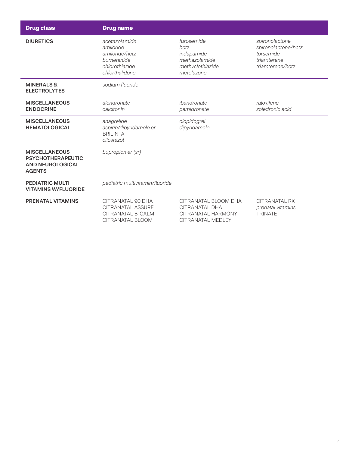| <b>Drug class</b>                                                                            | <b>Drug name</b>                                                                                     |                                                                                     |                                                                                       |
|----------------------------------------------------------------------------------------------|------------------------------------------------------------------------------------------------------|-------------------------------------------------------------------------------------|---------------------------------------------------------------------------------------|
| <b>DIURETICS</b>                                                                             | acetazolamide<br>amiloride<br>amiloride/hctz<br>bumetanide<br>chlorothiazide<br>chlorthalidone       | furosemide<br>hctz<br>indapamide<br>methazolamide<br>methyclothiazide<br>metolazone | spironolactone<br>spironolactone/hctz<br>torsemide<br>triamterene<br>triamterene/hctz |
| <b>MINERALS &amp;</b><br><b>ELECTROLYTES</b>                                                 | sodium fluoride                                                                                      |                                                                                     |                                                                                       |
| <b>MISCELLANEOUS</b><br><b>ENDOCRINE</b>                                                     | alendronate<br>calcitonin                                                                            | ibandronate<br>pamidronate                                                          | raloxifene<br>zoledronic acid                                                         |
| <b>MISCELLANEOUS</b><br><b>HEMATOLOGICAL</b>                                                 | anagrelide<br>aspirin/dipyridamole er<br><b>BRILINTA</b><br>cilostazol                               | clopidogrel<br>dipyridamole                                                         |                                                                                       |
| <b>MISCELLANEOUS</b><br><b>PSYCHOTHERAPEUTIC</b><br><b>AND NEUROLOGICAL</b><br><b>AGENTS</b> | bupropion er (sr)                                                                                    |                                                                                     |                                                                                       |
| <b>PEDIATRIC MULTI</b><br><b>VITAMINS W/FLUORIDE</b>                                         | pediatric multivitamin/fluoride                                                                      |                                                                                     |                                                                                       |
| <b>PRENATAL VITAMINS</b>                                                                     | CITRANATAL 90 DHA<br><b>CITRANATAL ASSURE</b><br><b>CITRANATAL B-CALM</b><br><b>CITRANATAL BLOOM</b> | CITRANATAL BLOOM DHA<br>CITRANATAL DHA<br>CITRANATAL HARMONY<br>CITRANATAL MEDLEY   | CITRANATAL RX<br>prenatal vitamins<br><b>TRINATE</b>                                  |